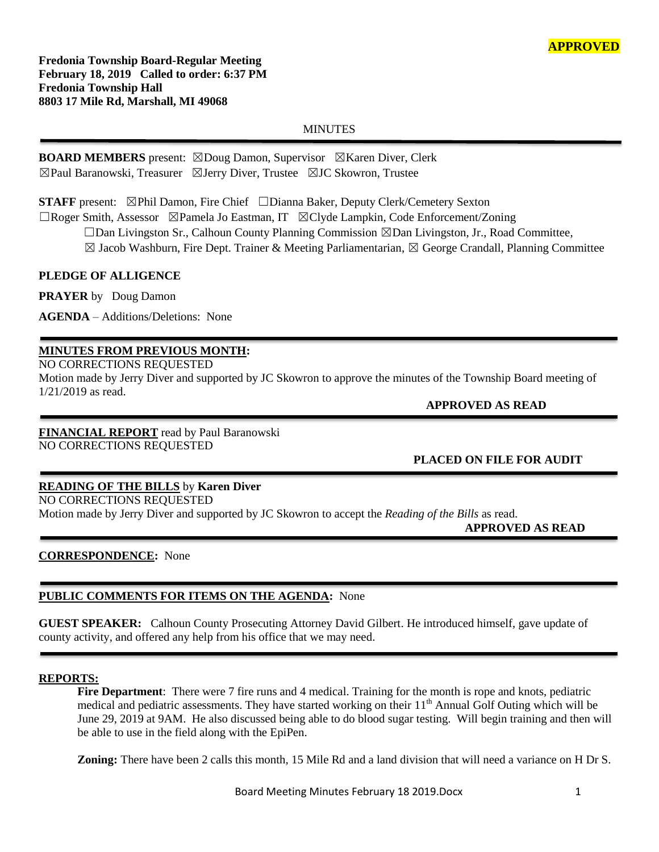**Fredonia Township Board-Regular Meeting February 18, 2019 Called to order: 6:37 PM Fredonia Township Hall 8803 17 Mile Rd, Marshall, MI 49068**

### **MINUTES**

**BOARD MEMBERS** present: ☒Doug Damon, Supervisor ☒Karen Diver, Clerk ☒Paul Baranowski, Treasurer ☒Jerry Diver, Trustee ☒JC Skowron, Trustee

**STAFF** present: ⊠Phil Damon, Fire Chief □Dianna Baker, Deputy Clerk/Cemetery Sexton

☐Roger Smith, Assessor ☒Pamela Jo Eastman, IT ☒Clyde Lampkin, Code Enforcement/Zoning

☐Dan Livingston Sr., Calhoun County Planning Commission ☒Dan Livingston, Jr., Road Committee,

 $\boxtimes$  Jacob Washburn, Fire Dept. Trainer & Meeting Parliamentarian,  $\boxtimes$  George Crandall, Planning Committee

### **PLEDGE OF ALLIGENCE**

**PRAYER** by Doug Damon

**AGENDA** – Additions/Deletions: None

## **MINUTES FROM PREVIOUS MONTH:**

NO CORRECTIONS REQUESTED

Motion made by Jerry Diver and supported by JC Skowron to approve the minutes of the Township Board meeting of 1/21/2019 as read.

 **APPROVED AS READ**

**FINANCIAL REPORT** read by Paul Baranowski NO CORRECTIONS REQUESTED

**PLACED ON FILE FOR AUDIT**

# **READING OF THE BILLS** by **Karen Diver**

NO CORRECTIONS REQUESTED

Motion made by Jerry Diver and supported by JC Skowron to accept the *Reading of the Bills* as read.

 **APPROVED AS READ**

### **CORRESPONDENCE:** None

### **PUBLIC COMMENTS FOR ITEMS ON THE AGENDA:** None

**GUEST SPEAKER:** Calhoun County Prosecuting Attorney David Gilbert. He introduced himself, gave update of county activity, and offered any help from his office that we may need.

#### **REPORTS:**

**Fire Department**: There were 7 fire runs and 4 medical. Training for the month is rope and knots, pediatric medical and pediatric assessments. They have started working on their 11<sup>th</sup> Annual Golf Outing which will be June 29, 2019 at 9AM. He also discussed being able to do blood sugar testing. Will begin training and then will be able to use in the field along with the EpiPen.

**Zoning:** There have been 2 calls this month, 15 Mile Rd and a land division that will need a variance on H Dr S.